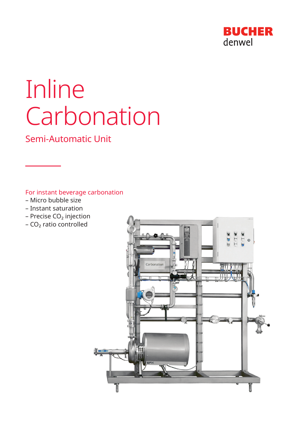

# Inline Carbonation

Semi-Automatic Unit

For instant beverage carbonation

- Micro bubble size
- Instant saturation
- $-$  Precise CO<sub>2</sub> injection
- $-CO<sub>2</sub>$  ratio controlled